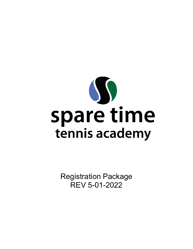

Registration Package REV 5-01-2022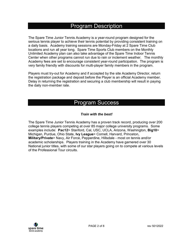### Program Description

The Spare Time Junior Tennis Academy is a year-round program designed for the serious tennis player to achieve their tennis potential by providing consistent training on a daily basis. Academy training sessions are Monday-Friday at 2 Spare Time Club locations and run all year long. Spare Time Sports Club members on the Monthly Unlimited Academy plan can also take advantage of the Spare Time Indoor Tennis Center when other programs cannot run due to rain or inclement weather. The monthly Academy fees are set to encourage consistent year-round participation. The program is very family friendly with discounts for multi-player family members in the program.

Players must try-out for Academy and if accepted by the site Academy Director, return the registration package and deposit before the Player is an official Academy member. Delay in returning the registration and securing a club membership will result in paying the daily non-member rate.

### Program Success

#### *Train with the best!*

The Spare Time Junior Tennis Academy has a proven track record, producing over 200 college tennis players competing at over 85 major college university programs. Some examples include: **Pac12**> Stanford, Cal, USC, UCLA, Arizona, Washington, **Big10**> Michigan, Purdue, Ohio State, **Ivy League**> Cornell, Harvard, Princeton, **Military/Private**> Navy, Air Force, Pepperdine, Hillsdale - most on tennis and/or academic scholarships. Players training in the Academy have garnered over 30 National junior titles, with some of our star players going on to compete at various levels of the Professional Tour circuits.

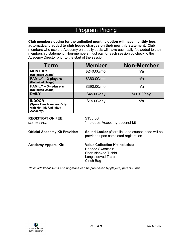# Program Pricing

**Club members opting for the unlimited monthly option will have monthly fees automatically added to club house charges on their monthly statement.** Club members who use the Academy on a daily basis will have each daily fee added to their membership statement. Non-members must pay for each session by check to the Academy Director prior to the start of the session.

| <b>Term</b>                                                                                                                              | <b>Member</b>                         | <b>Non-Member</b>                                                                      |  |
|------------------------------------------------------------------------------------------------------------------------------------------|---------------------------------------|----------------------------------------------------------------------------------------|--|
| <b>MONTHLY</b><br>(Unlimited Usage)                                                                                                      | \$240.00/mo.                          | n/a                                                                                    |  |
| <b>FAMILY - 2 players</b><br>(Unlimited Usage)                                                                                           | \$360.00/mo.                          | n/a                                                                                    |  |
| <b>FAMILY - 3+ players</b><br>(Unlimited Usage)                                                                                          | \$390.00/mo.                          | n/a                                                                                    |  |
| <b>DAILY</b>                                                                                                                             | \$45.00/day                           | \$60.00/day                                                                            |  |
| <b>INDOOR</b><br>(Spare Time Members Only<br>with Monthly Unlimited<br>Academy)                                                          | \$15.00/day                           | n/a                                                                                    |  |
| \$135.00<br><b>REGISTRATION FEE:</b><br>*Includes Academy apparel kit<br>Non-Refundable                                                  |                                       |                                                                                        |  |
| <b>Official Academy Kit Provider:</b><br><b>Squad Locker</b> (Store link and coupon code will be<br>provided upon completed registration |                                       |                                                                                        |  |
| <b>Academy Apparel Kit:</b>                                                                                                              | <b>Hooded Sweatshirt</b><br>Cinch Bag | <b>Value Collection Kit includes:</b><br>Short sleeved T-shirt<br>Long sleeved T-shirt |  |

*Note: Additional items and upgrades can be purchased by players, parents, fans.*

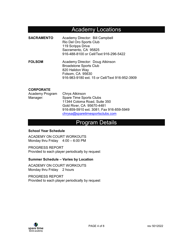## Academy Locations

- **SACRAMENTO** Academy Director: Bill Campbell Rio Del Oro Sports Club 119 Scripps Drive Sacramento, CA 95825 916-488-8100 or Cell/Text 916-296-5422
- **FOLSOM Academy Director: Doug Atkinson**  Broadstone Sports Club 820 Halidon Way Folsom, CA 95630 916-983-9180 ext. 15 or Cell/Text 916-952-3909

#### **CORPORATE**

| Academy Program | Chrys Atkinson                           |
|-----------------|------------------------------------------|
| Manager:        | Spare Time Sports Clubs                  |
|                 | 11344 Coloma Road, Suite 350             |
|                 | Gold River, CA 95670-4481                |
|                 | 916-859-5910 ext. 3081; Fax 916-859-5949 |
|                 | chrysa@sparetimesportsclubs.com          |

## Program Details

#### **School Year Schedule**

ACADEMY ON COURT WORKOUTS Monday thru Friday 4:00 – 6:00 PM

PROGRESS REPORT Provided to each player periodically by request

#### **Summer Schedule – Varies by Location**

ACADEMY ON COURT WORKOUTS Monday thru Friday 2 hours

PROGRESS REPORT Provided to each player periodically by request

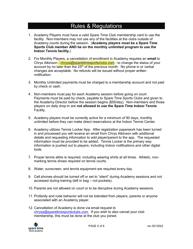# Rules & Regulations

- 1. Academy Players must have a valid Spare Time Club membership card to use the facility. Non-members may not use any of the facilities at the clubs outside of Academy courts during the session. (**Academy players must be a Spare Time Sports Club member AND be on the monthly unlimited program to use the Indoor Tennis facility.**)
- 2. For Monthly Players, a cancellation of enrollment in Academy requires an **email** to Chrys Atkinson - [chrysa@sparetimesportsclubs.com](mailto:chrysa@sparetimesportsclubs.com) - to change the status of your account by no later than the  $25<sup>th</sup>$  of the previous month. No phone in or verbal changes are acceptable. No refunds will be issued without proper written notification.
- 3. Monthly Unlimited payments must be charged to a membership account and not paid by check or cash.
- 4. Non-members must pay for each Academy session before going on court. Payments must be paid by check, payable to Spare Time Sports Clubs and given to the Academy Director before the session begins (\$55/day). Non-members and those players on daily drop-in are **not allowed to use the Spare Time Indoor Tennis** Facility.
- 5. Academy players must be currently active for a minimum of 90 days, monthly unlimited before they can make direct reservations at the Indoor Tennis Center.
- 6. Academy utilizes Tennis Locker App. After registration paperwork has been turned in and processed you will receive an email from Chrys Atkinson with additional details and requesting information to add player/parent to the app. The requested information must be provided to be added. Tennis Locker is the primary way information is pushed out to players, including Indoor notifications and other digital tools.
- 7. Proper tennis attire is required, including wearing shirts at all times. Athletic, nonmarking tennis shoes required on tennis courts.
- 8. Water, sunscreen, and tennis equipment are required every day.
- 9. Cell phones should be turned off or set to "silent" during Academy sessions and not accessed during training (left in bag – not pockets).
- 10. Parents are not allowed on court or to be disruptive during Academy sessions.
- 11. Profanity and rude behavior will not be tolerated from players, parents or anyone associated with an Academy player.
- 12. Cancellation of Academy is done via email request to [chrysa@sparetimesportsclubs.com.](mailto:chrysa@sparetimesportsclubs.com) If you wish to also cancel your club membership, this must be done at the club you joined.

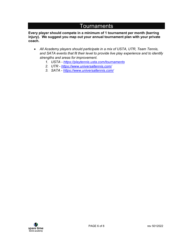# **Tournaments**

**Every player should compete in a minimum of 1 tournament per month (barring injury). We suggest you map out your annual tournament plan with your private coach.** 

- *All Academy players should participate in a mix of USTA, UTR, Team Tennis, and SATA events that fit their level to provide live play experience and to identify strengths and areas for improvement.*
	- *1. USTA -<https://playtennis.usta.com/tournaments>*
	- *2. UTR -<https://www.universaltennis.com/>*
	- *3. SATA -<https://www.universaltennis.com/>*

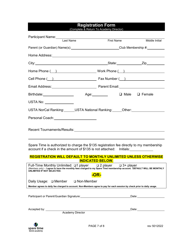#### **Registration Form** (Complete & Return To Academy Director)

| Participant Name:<br>Last Name                                                                                                                                                                                                             |                                                  |                            |  |  |
|--------------------------------------------------------------------------------------------------------------------------------------------------------------------------------------------------------------------------------------------|--------------------------------------------------|----------------------------|--|--|
|                                                                                                                                                                                                                                            | <b>First Name</b>                                | Middle Initial             |  |  |
|                                                                                                                                                                                                                                            | Parent (or Guardian) Name(s): Club Membership #: |                            |  |  |
|                                                                                                                                                                                                                                            |                                                  |                            |  |  |
|                                                                                                                                                                                                                                            |                                                  |                            |  |  |
|                                                                                                                                                                                                                                            |                                                  |                            |  |  |
| Cell Phone ( ) Fax Number ( )                                                                                                                                                                                                              |                                                  |                            |  |  |
| Email Address: No. 2014 No. 2014 2015 2016 2021 2022 2023 2024 2024 2022 2023 2024 2022 2023 2024 20                                                                                                                                       |                                                  |                            |  |  |
|                                                                                                                                                                                                                                            |                                                  |                            |  |  |
| USTA No: ________________                                                                                                                                                                                                                  |                                                  |                            |  |  |
| USTA NorCal Ranking: USTA National Ranking: Other: USTA NorCal Ranking:                                                                                                                                                                    |                                                  |                            |  |  |
| Personal Coach: New York Coach                                                                                                                                                                                                             |                                                  |                            |  |  |
| Recent Tournaments/Results: Network and the Contract of the Contract of the Contract of the Contract of the Co                                                                                                                             |                                                  |                            |  |  |
| Spare Time is authorized to charge the \$135 registration fee directly to my membership<br>account if a check in the amount of \$135 is not attached: lnitials:                                                                            |                                                  |                            |  |  |
| <b>REGISTRATION WILL DEFAULT TO MONTHLY UNLIMITED UNLESS OTHERWISE</b><br><b>INDICATED BELOW.</b>                                                                                                                                          |                                                  |                            |  |  |
| Full-Time Monthly Unlimited: □1 player □ 2 player □ 3+ player<br>(Members only) – I agree to have the monthly fees charged to my Spare Time membership account. DEFAULT WILL BE MONTHLY<br>UNLIMITED IF NOT SELECTED.<br><mark>-OR-</mark> |                                                  |                            |  |  |
| Daily Usage: □ Member<br>□ Non-Member                                                                                                                                                                                                      |                                                  |                            |  |  |
| Member agrees to daily fee charged to account. Non-Members agree to pay for each session by check prior to daily usage.                                                                                                                    |                                                  |                            |  |  |
|                                                                                                                                                                                                                                            |                                                  | Date: ____________________ |  |  |
| Accepted by:<br><b>Academy Director</b>                                                                                                                                                                                                    |                                                  |                            |  |  |